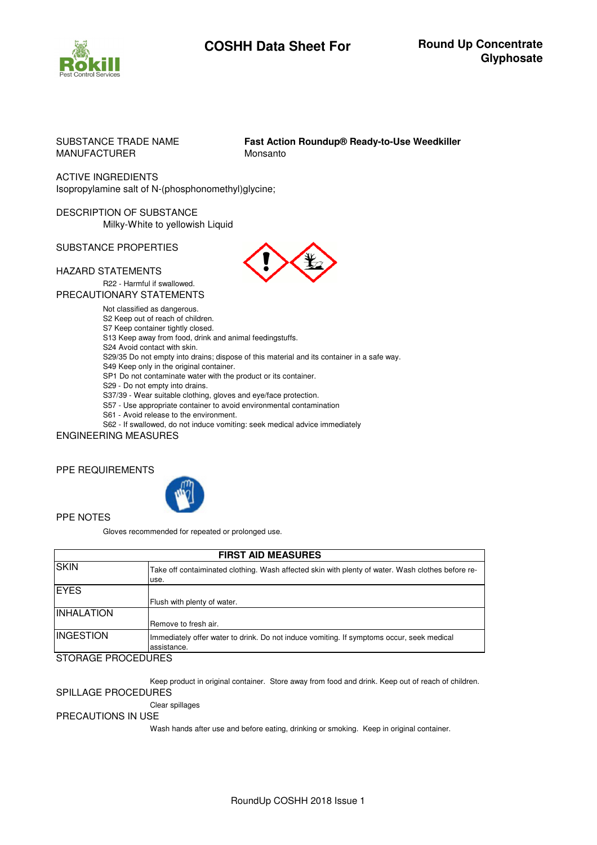

# **COSHH Data Sheet For Round Up Concentrate**

# MANUFACTURER Monsanto

SUBSTANCE TRADE NAME **Fast Action Roundup® Ready-to-Use Weedkiller**

ACTIVE INGREDIENTS Isopropylamine salt of N-(phosphonomethyl)glycine;

DESCRIPTION OF SUBSTANCE Milky-White to yellowish Liquid

SUBSTANCE PROPERTIES

## HAZARD STATEMENTS

R22 ‐ Harmful if swallowed.

PRECAUTIONARY STATEMENTS

Not classified as dangerous.

S2 Keep out of reach of children.

S7 Keep container tightly closed.

S13 Keep away from food, drink and animal feedingstuffs.

S24 Avoid contact with skin.

S29/35 Do not empty into drains; dispose of this material and its container in a safe way.

S49 Keep only in the original container.

SP1 Do not contaminate water with the product or its container.

S29 ‐ Do not empty into drains.

S37/39 ‐ Wear suitable clothing, gloves and eye/face protection.

S57 - Use appropriate container to avoid environmental contamination

S61 ‐ Avoid release to the environment.

S62 - If swallowed, do not induce vomiting: seek medical advice immediately

ENGINEERING MEASURES

## PPE REQUIREMENTS



#### PPE NOTES

Gloves recommended for repeated or prolonged use.

| <b>FIRST AID MEASURES</b> |                                                                                                           |  |
|---------------------------|-----------------------------------------------------------------------------------------------------------|--|
| <b>SKIN</b>               | Take off contaiminated clothing. Wash affected skin with plenty of water. Wash clothes before re-<br>use. |  |
| <b>EYES</b>               | Flush with plenty of water.                                                                               |  |
| <b>INHALATION</b>         | Remove to fresh air.                                                                                      |  |
| <b>INGESTION</b>          | Immediately offer water to drink. Do not induce vomiting. If symptoms occur, seek medical<br>assistance.  |  |

STORAGE PROCEDURES

Keep product in original container. Store away from food and drink. Keep out of reach of children.

# SPILLAGE PROCEDURES

Clear spillages

# PRECAUTIONS IN USE

Wash hands after use and before eating, drinking or smoking. Keep in original container.